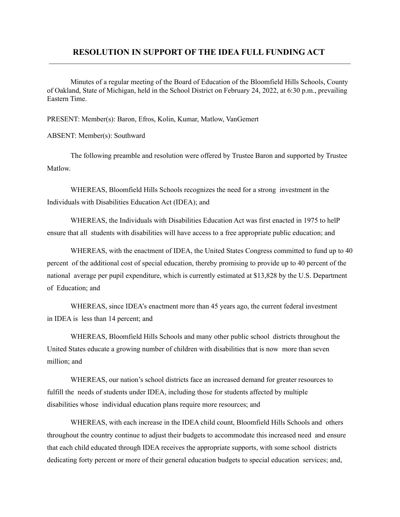## **RESOLUTION IN SUPPORT OF THE IDEA FULL FUNDING ACT**

Minutes of a regular meeting of the Board of Education of the Bloomfield Hills Schools, County of Oakland, State of Michigan, held in the School District on February 24, 2022, at 6:30 p.m., prevailing Eastern Time.

PRESENT: Member(s): Baron, Efros, Kolin, Kumar, Matlow, VanGemert

ABSENT: Member(s): Southward

The following preamble and resolution were offered by Trustee Baron and supported by Trustee Matlow.

WHEREAS, Bloomfield Hills Schools recognizes the need for a strong investment in the Individuals with Disabilities Education Act (IDEA); and

WHEREAS, the Individuals with Disabilities Education Act was first enacted in 1975 to helP ensure that all students with disabilities will have access to a free appropriate public education; and

WHEREAS, with the enactment of IDEA, the United States Congress committed to fund up to 40 percent of the additional cost of special education, thereby promising to provide up to 40 percent of the national average per pupil expenditure, which is currently estimated at \$13,828 by the U.S. Department of Education; and

WHEREAS, since IDEA's enactment more than 45 years ago, the current federal investment in IDEA is less than 14 percent; and

WHEREAS, Bloomfield Hills Schools and many other public school districts throughout the United States educate a growing number of children with disabilities that is now more than seven million; and

WHEREAS, our nation's school districts face an increased demand for greater resources to fulfill the needs of students under IDEA, including those for students affected by multiple disabilities whose individual education plans require more resources; and

WHEREAS, with each increase in the IDEA child count, Bloomfield Hills Schools and others throughout the country continue to adjust their budgets to accommodate this increased need and ensure that each child educated through IDEA receives the appropriate supports, with some school districts dedicating forty percent or more of their general education budgets to special education services; and,